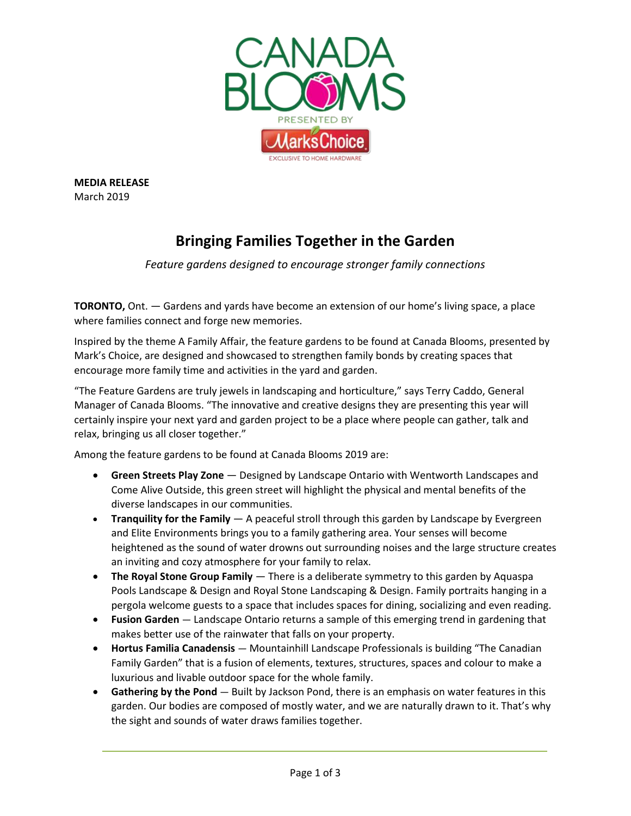

**MEDIA RELEASE** March 2019

## **Bringing Families Together in the Garden**

*Feature gardens designed to encourage stronger family connections*

**TORONTO,** Ont. — Gardens and yards have become an extension of our home's living space, a place where families connect and forge new memories.

Inspired by the theme A Family Affair, the feature gardens to be found at Canada Blooms, presented by Mark's Choice, are designed and showcased to strengthen family bonds by creating spaces that encourage more family time and activities in the yard and garden.

"The Feature Gardens are truly jewels in landscaping and horticulture," says Terry Caddo, General Manager of Canada Blooms. "The innovative and creative designs they are presenting this year will certainly inspire your next yard and garden project to be a place where people can gather, talk and relax, bringing us all closer together."

Among the feature gardens to be found at Canada Blooms 2019 are:

- **Green Streets Play Zone**  Designed by Landscape Ontario with Wentworth Landscapes and Come Alive Outside, this green street will highlight the physical and mental benefits of the diverse landscapes in our communities.
- **Tranquility for the Family**  A peaceful stroll through this garden by Landscape by Evergreen and Elite Environments brings you to a family gathering area. Your senses will become heightened as the sound of water drowns out surrounding noises and the large structure creates an inviting and cozy atmosphere for your family to relax.
- **The Royal Stone Group Family** There is a deliberate symmetry to this garden by Aquaspa Pools Landscape & Design and Royal Stone Landscaping & Design. Family portraits hanging in a pergola welcome guests to a space that includes spaces for dining, socializing and even reading.
- **Fusion Garden**  Landscape Ontario returns a sample of this emerging trend in gardening that makes better use of the rainwater that falls on your property.
- **Hortus Familia Canadensis**  Mountainhill Landscape Professionals is building "The Canadian Family Garden" that is a fusion of elements, textures, structures, spaces and colour to make a luxurious and livable outdoor space for the whole family.
- **Gathering by the Pond**  Built by Jackson Pond, there is an emphasis on water features in this garden. Our bodies are composed of mostly water, and we are naturally drawn to it. That's why the sight and sounds of water draws families together.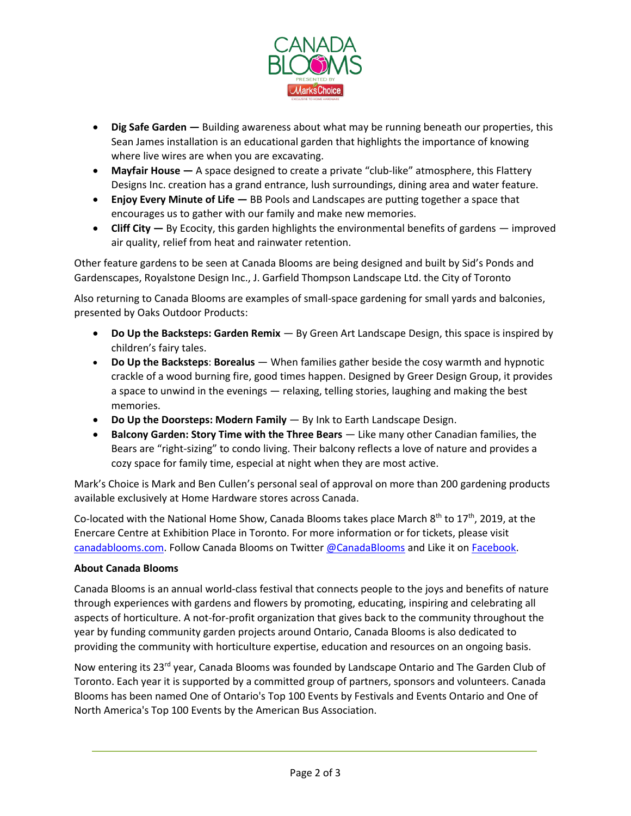

- **Dig Safe Garden —** Building awareness about what may be running beneath our properties, this Sean James installation is an educational garden that highlights the importance of knowing where live wires are when you are excavating.
- **Mayfair House —** A space designed to create a private "club-like" atmosphere, this Flattery Designs Inc. creation has a grand entrance, lush surroundings, dining area and water feature.
- **Enjoy Every Minute of Life —** BB Pools and Landscapes are putting together a space that encourages us to gather with our family and make new memories.
- **Cliff City —** By Ecocity, this garden highlights the environmental benefits of gardens improved air quality, relief from heat and rainwater retention.

Other feature gardens to be seen at Canada Blooms are being designed and built by Sid's Ponds and Gardenscapes, Royalstone Design Inc., J. Garfield Thompson Landscape Ltd. the City of Toronto

Also returning to Canada Blooms are examples of small-space gardening for small yards and balconies, presented by Oaks Outdoor Products:

- **Do Up the Backsteps: Garden Remix** By Green Art Landscape Design, this space is inspired by children's fairy tales.
- **Do Up the Backsteps**: **Borealus** When families gather beside the cosy warmth and hypnotic crackle of a wood burning fire, good times happen. Designed by Greer Design Group, it provides a space to unwind in the evenings — relaxing, telling stories, laughing and making the best memories.
- **Do Up the Doorsteps: Modern Family** By Ink to Earth Landscape Design.
- **Balcony Garden: Story Time with the Three Bears**  Like many other Canadian families, the Bears are "right-sizing" to condo living. Their balcony reflects a love of nature and provides a cozy space for family time, especial at night when they are most active.

Mark's Choice is Mark and Ben Cullen's personal seal of approval on more than 200 gardening products available exclusively at Home Hardware stores across Canada.

Co-located with the National Home Show, Canada Blooms takes place March  $8<sup>th</sup>$  to 17<sup>th</sup>, 2019, at the Enercare Centre at Exhibition Place in Toronto. For more information or for tickets, please visit [canadablooms.com.](http://www.canadablooms.com/) Follow Canada Blooms on Twitte[r @CanadaBlooms](http://www.twitter.com/canadablooms) and Like it o[n Facebook.](http://www.facebook.com/canadablooms)

## **About Canada Blooms**

Canada Blooms is an annual world-class festival that connects people to the joys and benefits of nature through experiences with gardens and flowers by promoting, educating, inspiring and celebrating all aspects of horticulture. A not-for-profit organization that gives back to the community throughout the year by funding community garden projects around Ontario, Canada Blooms is also dedicated to providing the community with horticulture expertise, education and resources on an ongoing basis.

Now entering its 23<sup>rd</sup> year, Canada Blooms was founded by Landscape Ontario and The Garden Club of Toronto. Each year it is supported by a committed group of partners, sponsors and volunteers. Canada Blooms has been named One of Ontario's Top 100 Events by Festivals and Events Ontario and One of North America's Top 100 Events by the American Bus Association.